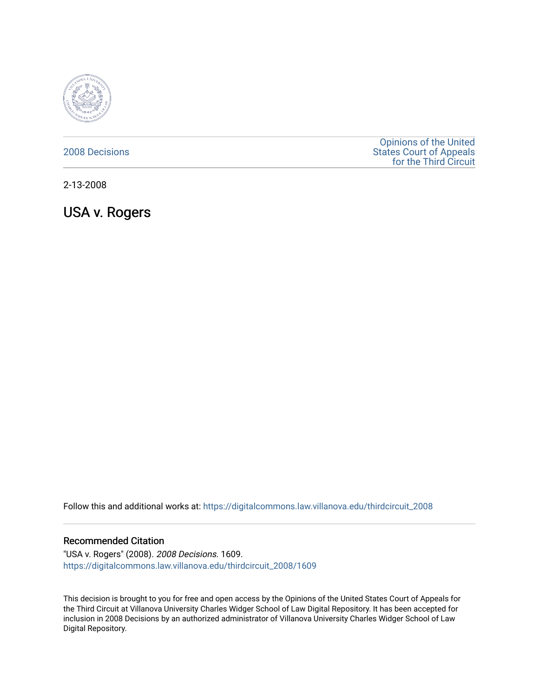

## [2008 Decisions](https://digitalcommons.law.villanova.edu/thirdcircuit_2008)

[Opinions of the United](https://digitalcommons.law.villanova.edu/thirdcircuit)  [States Court of Appeals](https://digitalcommons.law.villanova.edu/thirdcircuit)  [for the Third Circuit](https://digitalcommons.law.villanova.edu/thirdcircuit) 

2-13-2008

USA v. Rogers

Follow this and additional works at: [https://digitalcommons.law.villanova.edu/thirdcircuit\\_2008](https://digitalcommons.law.villanova.edu/thirdcircuit_2008?utm_source=digitalcommons.law.villanova.edu%2Fthirdcircuit_2008%2F1609&utm_medium=PDF&utm_campaign=PDFCoverPages) 

## Recommended Citation

"USA v. Rogers" (2008). 2008 Decisions. 1609. [https://digitalcommons.law.villanova.edu/thirdcircuit\\_2008/1609](https://digitalcommons.law.villanova.edu/thirdcircuit_2008/1609?utm_source=digitalcommons.law.villanova.edu%2Fthirdcircuit_2008%2F1609&utm_medium=PDF&utm_campaign=PDFCoverPages) 

This decision is brought to you for free and open access by the Opinions of the United States Court of Appeals for the Third Circuit at Villanova University Charles Widger School of Law Digital Repository. It has been accepted for inclusion in 2008 Decisions by an authorized administrator of Villanova University Charles Widger School of Law Digital Repository.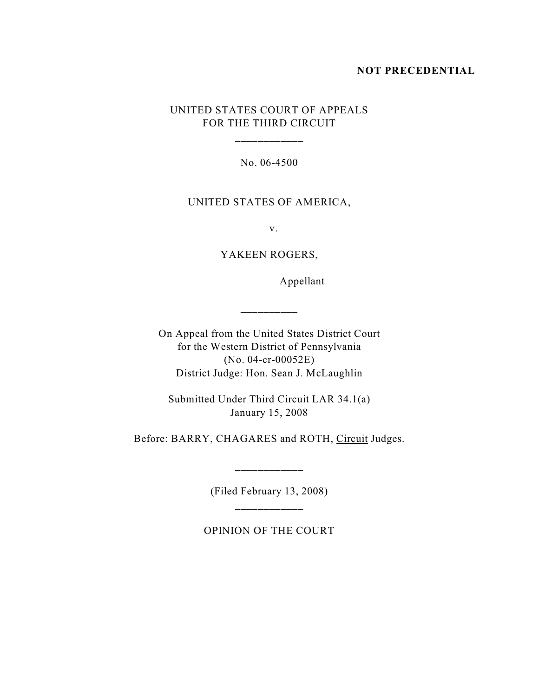### **NOT PRECEDENTIAL**

## UNITED STATES COURT OF APPEALS FOR THE THIRD CIRCUIT

No. 06-4500

#### UNITED STATES OF AMERICA,

v.

YAKEEN ROGERS,

Appellant

On Appeal from the United States District Court for the Western District of Pennsylvania (No. 04-cr-00052E) District Judge: Hon. Sean J. McLaughlin

\_\_\_\_\_\_\_\_\_\_

Submitted Under Third Circuit LAR 34.1(a) January 15, 2008

Before: BARRY, CHAGARES and ROTH, Circuit Judges.

(Filed February 13, 2008) \_\_\_\_\_\_\_\_\_\_\_\_

\_\_\_\_\_\_\_\_\_\_\_\_\_\_

OPINION OF THE COURT \_\_\_\_\_\_\_\_\_\_\_\_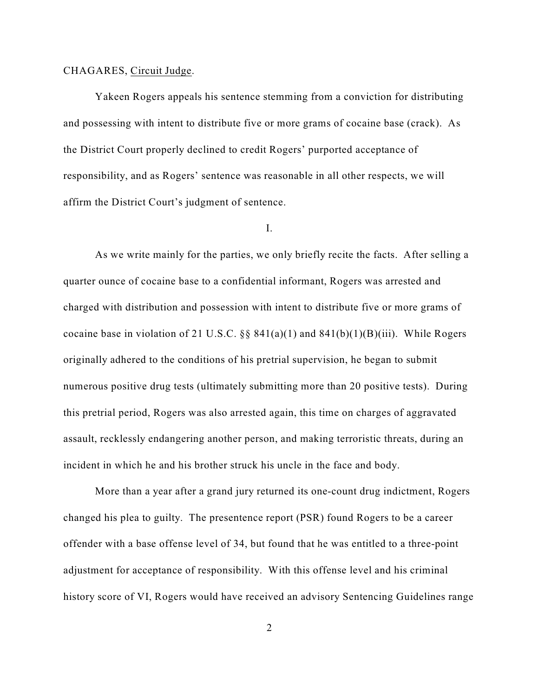#### CHAGARES, Circuit Judge.

Yakeen Rogers appeals his sentence stemming from a conviction for distributing and possessing with intent to distribute five or more grams of cocaine base (crack). As the District Court properly declined to credit Rogers' purported acceptance of responsibility, and as Rogers' sentence was reasonable in all other respects, we will affirm the District Court's judgment of sentence.

#### I.

As we write mainly for the parties, we only briefly recite the facts. After selling a quarter ounce of cocaine base to a confidential informant, Rogers was arrested and charged with distribution and possession with intent to distribute five or more grams of cocaine base in violation of 21 U.S.C. §§  $841(a)(1)$  and  $841(b)(1)(B)(iii)$ . While Rogers originally adhered to the conditions of his pretrial supervision, he began to submit numerous positive drug tests (ultimately submitting more than 20 positive tests). During this pretrial period, Rogers was also arrested again, this time on charges of aggravated assault, recklessly endangering another person, and making terroristic threats, during an incident in which he and his brother struck his uncle in the face and body.

More than a year after a grand jury returned its one-count drug indictment, Rogers changed his plea to guilty. The presentence report (PSR) found Rogers to be a career offender with a base offense level of 34, but found that he was entitled to a three-point adjustment for acceptance of responsibility. With this offense level and his criminal history score of VI, Rogers would have received an advisory Sentencing Guidelines range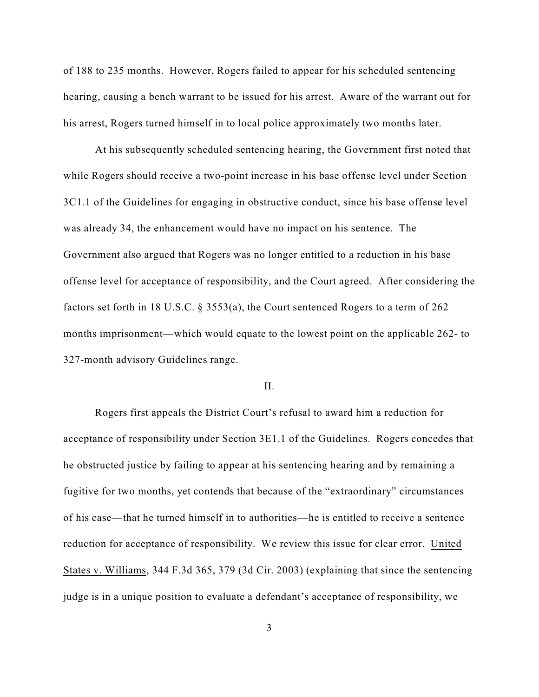of 188 to 235 months. However, Rogers failed to appear for his scheduled sentencing hearing, causing a bench warrant to be issued for his arrest. Aware of the warrant out for his arrest, Rogers turned himself in to local police approximately two months later.

At his subsequently scheduled sentencing hearing, the Government first noted that while Rogers should receive a two-point increase in his base offense level under Section 3C1.1 of the Guidelines for engaging in obstructive conduct, since his base offense level was already 34, the enhancement would have no impact on his sentence. The Government also argued that Rogers was no longer entitled to a reduction in his base offense level for acceptance of responsibility, and the Court agreed. After considering the factors set forth in 18 U.S.C. § 3553(a), the Court sentenced Rogers to a term of 262 months imprisonment—which would equate to the lowest point on the applicable 262- to 327-month advisory Guidelines range.

#### II.

Rogers first appeals the District Court's refusal to award him a reduction for acceptance of responsibility under Section 3E1.1 of the Guidelines. Rogers concedes that he obstructed justice by failing to appear at his sentencing hearing and by remaining a fugitive for two months, yet contends that because of the "extraordinary" circumstances of his case—that he turned himself in to authorities—he is entitled to receive a sentence reduction for acceptance of responsibility. We review this issue for clear error. United States v. Williams, 344 F.3d 365, 379 (3d Cir. 2003) (explaining that since the sentencing judge is in a unique position to evaluate a defendant's acceptance of responsibility, we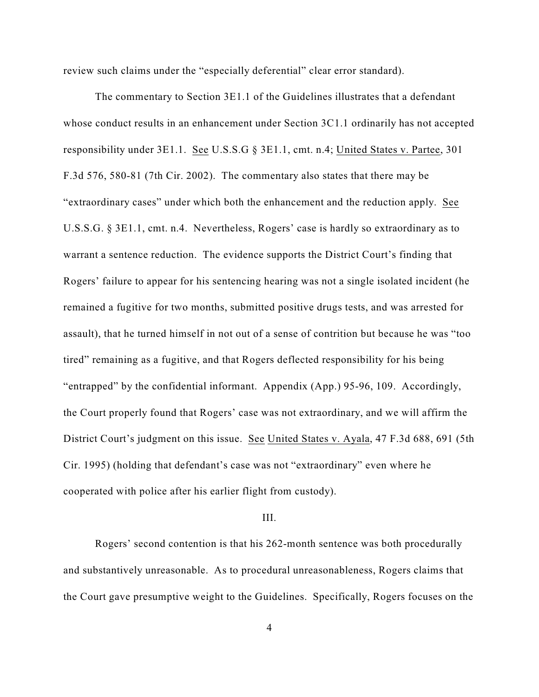review such claims under the "especially deferential" clear error standard).

The commentary to Section 3E1.1 of the Guidelines illustrates that a defendant whose conduct results in an enhancement under Section 3C1.1 ordinarily has not accepted responsibility under 3E1.1. See U.S.S.G § 3E1.1, cmt. n.4; United States v. Partee, 301 F.3d 576, 580-81 (7th Cir. 2002). The commentary also states that there may be "extraordinary cases" under which both the enhancement and the reduction apply. See U.S.S.G. § 3E1.1, cmt. n.4. Nevertheless, Rogers' case is hardly so extraordinary as to warrant a sentence reduction. The evidence supports the District Court's finding that Rogers' failure to appear for his sentencing hearing was not a single isolated incident (he remained a fugitive for two months, submitted positive drugs tests, and was arrested for assault), that he turned himself in not out of a sense of contrition but because he was "too tired" remaining as a fugitive, and that Rogers deflected responsibility for his being "entrapped" by the confidential informant. Appendix (App.) 95-96, 109. Accordingly, the Court properly found that Rogers' case was not extraordinary, and we will affirm the District Court's judgment on this issue. See United States v. Ayala, 47 F.3d 688, 691 (5th Cir. 1995) (holding that defendant's case was not "extraordinary" even where he cooperated with police after his earlier flight from custody).

#### III.

Rogers' second contention is that his 262-month sentence was both procedurally and substantively unreasonable. As to procedural unreasonableness, Rogers claims that the Court gave presumptive weight to the Guidelines. Specifically, Rogers focuses on the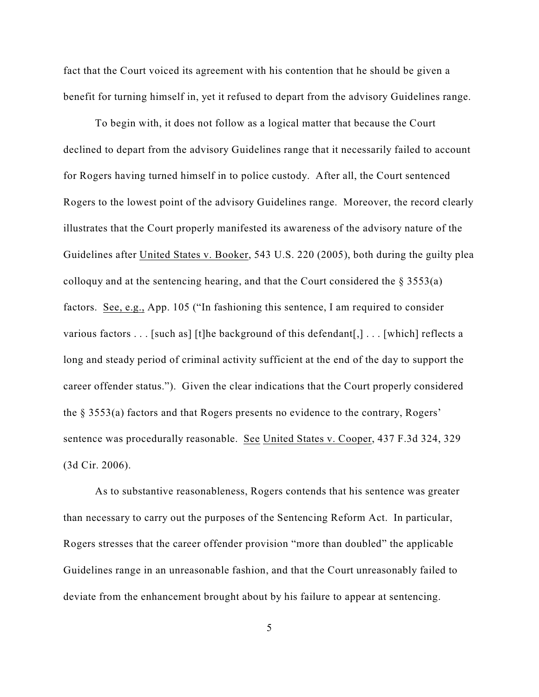fact that the Court voiced its agreement with his contention that he should be given a benefit for turning himself in, yet it refused to depart from the advisory Guidelines range.

To begin with, it does not follow as a logical matter that because the Court declined to depart from the advisory Guidelines range that it necessarily failed to account for Rogers having turned himself in to police custody. After all, the Court sentenced Rogers to the lowest point of the advisory Guidelines range. Moreover, the record clearly illustrates that the Court properly manifested its awareness of the advisory nature of the Guidelines after United States v. Booker, 543 U.S. 220 (2005), both during the guilty plea colloquy and at the sentencing hearing, and that the Court considered the  $\S$  3553(a) factors. See, e.g., App. 105 ("In fashioning this sentence, I am required to consider various factors . . . [such as] [t]he background of this defendant[,] . . . [which] reflects a long and steady period of criminal activity sufficient at the end of the day to support the career offender status."). Given the clear indications that the Court properly considered the § 3553(a) factors and that Rogers presents no evidence to the contrary, Rogers' sentence was procedurally reasonable. See United States v. Cooper, 437 F.3d 324, 329 (3d Cir. 2006).

As to substantive reasonableness, Rogers contends that his sentence was greater than necessary to carry out the purposes of the Sentencing Reform Act. In particular, Rogers stresses that the career offender provision "more than doubled" the applicable Guidelines range in an unreasonable fashion, and that the Court unreasonably failed to deviate from the enhancement brought about by his failure to appear at sentencing.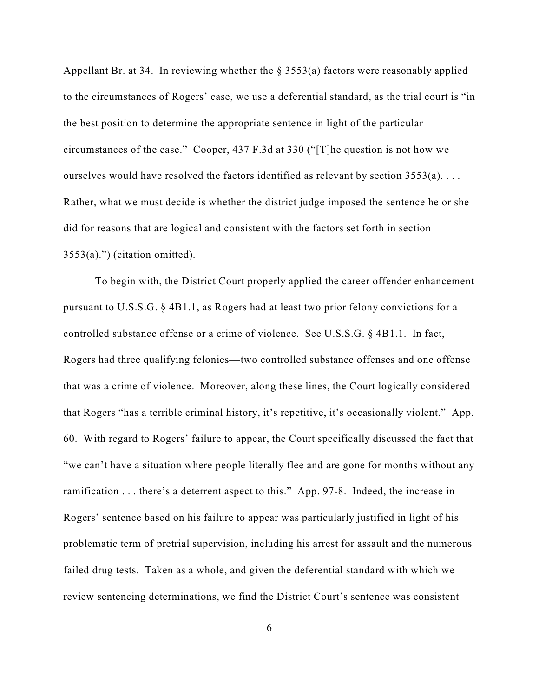Appellant Br. at 34. In reviewing whether the  $\S$  3553(a) factors were reasonably applied to the circumstances of Rogers' case, we use a deferential standard, as the trial court is "in the best position to determine the appropriate sentence in light of the particular circumstances of the case." Cooper, 437 F.3d at 330 ("[T]he question is not how we ourselves would have resolved the factors identified as relevant by section 3553(a). . . . Rather, what we must decide is whether the district judge imposed the sentence he or she did for reasons that are logical and consistent with the factors set forth in section  $3553(a)$ .") (citation omitted).

To begin with, the District Court properly applied the career offender enhancement pursuant to U.S.S.G. § 4B1.1, as Rogers had at least two prior felony convictions for a controlled substance offense or a crime of violence. See U.S.S.G. § 4B1.1. In fact, Rogers had three qualifying felonies—two controlled substance offenses and one offense that was a crime of violence. Moreover, along these lines, the Court logically considered that Rogers "has a terrible criminal history, it's repetitive, it's occasionally violent." App. 60. With regard to Rogers' failure to appear, the Court specifically discussed the fact that "we can't have a situation where people literally flee and are gone for months without any ramification . . . there's a deterrent aspect to this." App. 97-8. Indeed, the increase in Rogers' sentence based on his failure to appear was particularly justified in light of his problematic term of pretrial supervision, including his arrest for assault and the numerous failed drug tests. Taken as a whole, and given the deferential standard with which we review sentencing determinations, we find the District Court's sentence was consistent